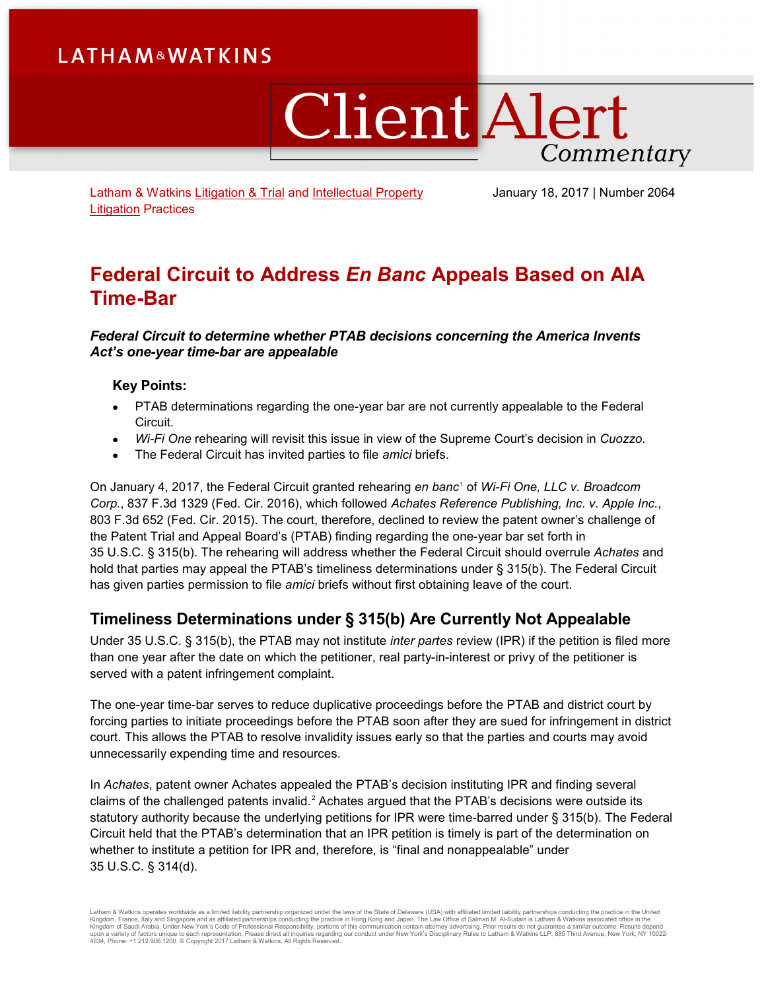# **LATHAM&WATKINS**

# **Client Alert** Commentary

Latham & Watkins [Litigation & Trial](https://www.lw.com/practices/LitigationandTrialPractice) and [Intellectual Property](https://www.lw.com/practices/IntellectualPropertyLitigation)  [Litigation](https://www.lw.com/practices/IntellectualPropertyLitigation) Practices

January 18, 2017 | Number 2064

## **Federal Circuit to Address** *En Banc* **Appeals Based on AIA Time-Bar**

*Federal Circuit to determine whether PTAB decisions concerning the America Invents Act's one-year time-bar are appealable*

### **Key Points:**

- PTAB determinations regarding the one-year bar are not currently appealable to the Federal Circuit.
- *Wi-Fi One* rehearing will revisit this issue in view of the Supreme Court's decision in *Cuozzo*.
- The Federal Circuit has invited parties to file *amici* briefs.

On January 4, 2017, the Federal Circuit granted rehearing *en banc*[1](#page-3-0) of *Wi-Fi One, LLC v. Broadcom Corp.*, 837 F.3d 1329 (Fed. Cir. 2016), which followed *Achates Reference Publishing, Inc. v. Apple Inc.*, 803 F.3d 652 (Fed. Cir. 2015). The court, therefore, declined to review the patent owner's challenge of the Patent Trial and Appeal Board's (PTAB) finding regarding the one-year bar set forth in 35 U.S.C. § 315(b). The rehearing will address whether the Federal Circuit should overrule *Achates* and hold that parties may appeal the PTAB's timeliness determinations under § 315(b). The Federal Circuit has given parties permission to file *amici* briefs without first obtaining leave of the court.

## **Timeliness Determinations under § 315(b) Are Currently Not Appealable**

Under 35 U.S.C. § 315(b), the PTAB may not institute *inter partes* review (IPR) if the petition is filed more than one year after the date on which the petitioner, real party-in-interest or privy of the petitioner is served with a patent infringement complaint.

The one-year time-bar serves to reduce duplicative proceedings before the PTAB and district court by forcing parties to initiate proceedings before the PTAB soon after they are sued for infringement in district court. This allows the PTAB to resolve invalidity issues early so that the parties and courts may avoid unnecessarily expending time and resources.

In *Achates*, patent owner Achates appealed the PTAB's decision instituting IPR and finding several claims of the challenged patents invalid.<sup>[2](#page-3-1)</sup> Achates argued that the PTAB's decisions were outside its statutory authority because the underlying petitions for IPR were time-barred under § 315(b). The Federal Circuit held that the PTAB's determination that an IPR petition is timely is part of the determination on whether to institute a petition for IPR and, therefore, is "final and nonappealable" under 35 U.S.C. § 314(d).

Latham & Watkins operates wordwide as a limited liability partnership organized under the laws of the State of Delaware (USA) with affiliated plimited liability partnerships conducting the practice in the United Limited Li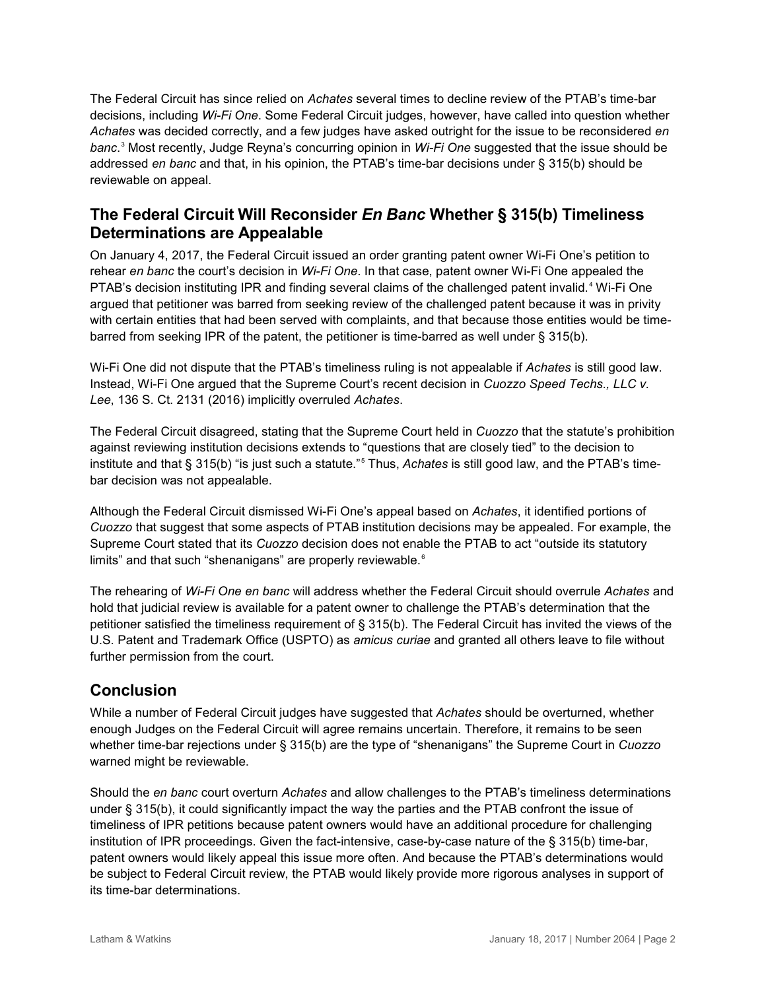The Federal Circuit has since relied on *Achates* several times to decline review of the PTAB's time-bar decisions, including *Wi-Fi One*. Some Federal Circuit judges, however, have called into question whether *Achates* was decided correctly, and a few judges have asked outright for the issue to be reconsidered *en banc*. [3](#page-3-2) Most recently, Judge Reyna's concurring opinion in *Wi-Fi One* suggested that the issue should be addressed *en banc* and that, in his opinion, the PTAB's time-bar decisions under § 315(b) should be reviewable on appeal.

## **The Federal Circuit Will Reconsider** *En Banc* **Whether § 315(b) Timeliness Determinations are Appealable**

On January 4, 2017, the Federal Circuit issued an order granting patent owner Wi-Fi One's petition to rehear *en banc* the court's decision in *Wi-Fi One*. In that case, patent owner Wi-Fi One appealed the PTAB's decision instituting IPR and finding several claims of the challenged patent invalid.<sup>[4](#page-3-3)</sup> Wi-Fi One argued that petitioner was barred from seeking review of the challenged patent because it was in privity with certain entities that had been served with complaints, and that because those entities would be timebarred from seeking IPR of the patent, the petitioner is time-barred as well under § 315(b).

Wi-Fi One did not dispute that the PTAB's timeliness ruling is not appealable if *Achates* is still good law. Instead, Wi-Fi One argued that the Supreme Court's recent decision in *Cuozzo Speed Techs., LLC v. Lee*, 136 S. Ct. 2131 (2016) implicitly overruled *Achates*.

The Federal Circuit disagreed, stating that the Supreme Court held in *Cuozzo* that the statute's prohibition against reviewing institution decisions extends to "questions that are closely tied" to the decision to institute and that § 315(b) "is just such a statute."[5](#page-3-4) Thus, *Achates* is still good law, and the PTAB's timebar decision was not appealable.

Although the Federal Circuit dismissed Wi-Fi One's appeal based on *Achates*, it identified portions of *Cuozzo* that suggest that some aspects of PTAB institution decisions may be appealed. For example, the Supreme Court stated that its *Cuozzo* decision does not enable the PTAB to act "outside its statutory limits" and that such "shenanigans" are properly reviewable.<sup>[6](#page-3-5)</sup>

The rehearing of *Wi-Fi One en banc* will address whether the Federal Circuit should overrule *Achates* and hold that judicial review is available for a patent owner to challenge the PTAB's determination that the petitioner satisfied the timeliness requirement of § 315(b). The Federal Circuit has invited the views of the U.S. Patent and Trademark Office (USPTO) as *amicus curiae* and granted all others leave to file without further permission from the court.

## **Conclusion**

While a number of Federal Circuit judges have suggested that *Achates* should be overturned, whether enough Judges on the Federal Circuit will agree remains uncertain. Therefore, it remains to be seen whether time-bar rejections under § 315(b) are the type of "shenanigans" the Supreme Court in *Cuozzo* warned might be reviewable.

Should the *en banc* court overturn *Achates* and allow challenges to the PTAB's timeliness determinations under § 315(b), it could significantly impact the way the parties and the PTAB confront the issue of timeliness of IPR petitions because patent owners would have an additional procedure for challenging institution of IPR proceedings. Given the fact-intensive, case-by-case nature of the § 315(b) time-bar, patent owners would likely appeal this issue more often. And because the PTAB's determinations would be subject to Federal Circuit review, the PTAB would likely provide more rigorous analyses in support of its time-bar determinations.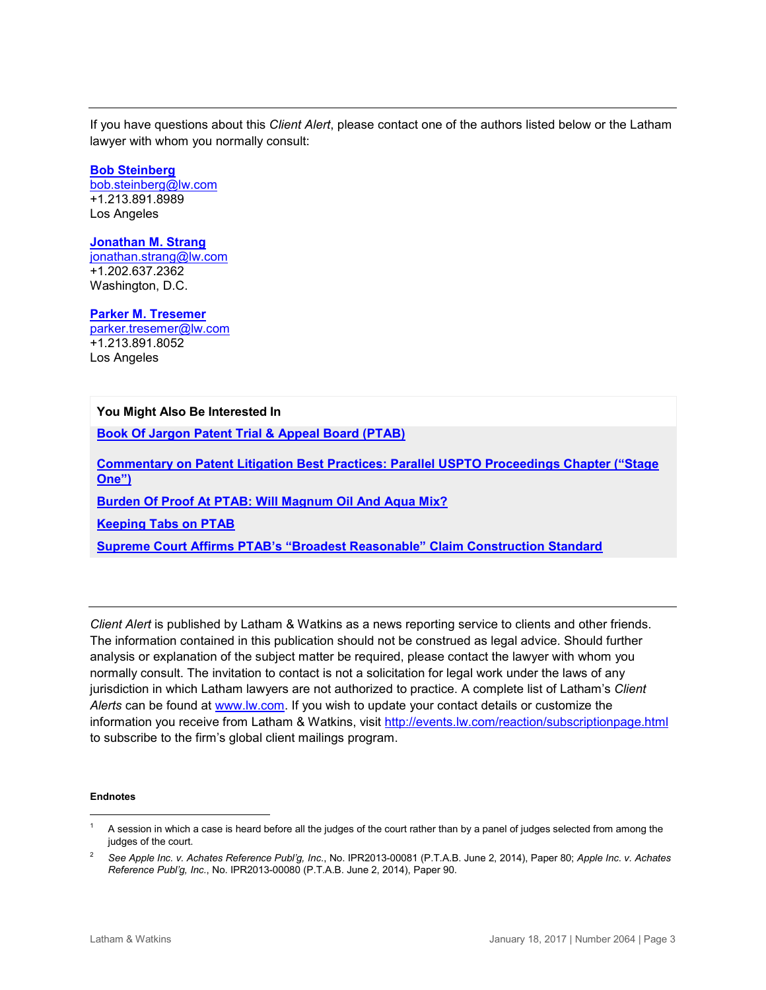If you have questions about this *Client Alert*, please contact one of the authors listed below or the Latham lawyer with whom you normally consult:

**[Bob Steinberg](https://www.lw.com/people/bob-steinberg)** [bob.steinberg@lw.com](mailto:bob.steinberg@lw.com) +1.213.891.8989 Los Angeles

#### **[Jonathan M. Strang](https://www.lw.com/people/jonathan-strang)**

[jonathan.strang@lw.com](mailto:jonathan.strang@lw.com) +1.202.637.2362 Washington, D.C.

**[Parker M. Tresemer](https://www.lw.com/people/parker-tresemer)** [parker.tresemer@lw.com](mailto:parker.tresemer@lw.com) +1.213.891.8052 Los Angeles

#### **You Might Also Be Interested In**

**Book Of Jargon [Patent Trial & Appeal Board \(PTAB\)](https://www.lw.com/bookofjargon-apps/boj-ptab)**

**[Commentary on Patent Litigation Best Practices: Parallel USPTO Proceedings Chapter \("Stage](https://www.lw.com/thoughtLeadership/commentary-on-patent-litigation-best-practices)  [One"\)](https://www.lw.com/thoughtLeadership/commentary-on-patent-litigation-best-practices)**

**[Burden Of Proof At PTAB: Will Magnum Oil And Aqua Mix?](https://www.lw.com/thoughtLeadership/burden-of-proof-ptab)**

**[Keeping Tabs on PTAB](https://www.lw.com/thoughtLeadership/keeping-tabs-on-ptab)**

**[Supreme Court Affirms PTAB's "Broadest Reasonable" Claim Construction Standard](https://www.lw.com/thoughtLeadership/supreme-court-affirms-PTAB-broadest-reasonable-claim)**

*Client Alert* is published by Latham & Watkins as a news reporting service to clients and other friends. The information contained in this publication should not be construed as legal advice. Should further analysis or explanation of the subject matter be required, please contact the lawyer with whom you normally consult. The invitation to contact is not a solicitation for legal work under the laws of any jurisdiction in which Latham lawyers are not authorized to practice. A complete list of Latham's *Client Alerts* can be found at [www.lw.com.](http://www.lw.com/) If you wish to update your contact details or customize the information you receive from Latham & Watkins, visit<http://events.lw.com/reaction/subscriptionpage.html> to subscribe to the firm's global client mailings program.

#### **Endnotes**

 $\overline{a}$ 

<sup>1</sup> A session in which a case is heard before all the judges of the court rather than by a panel of judges selected from among the judges of the court.

<sup>2</sup> *See Apple Inc. v. Achates Reference Publ'g, Inc.*, No. IPR2013-00081 (P.T.A.B. June 2, 2014), Paper 80; *Apple Inc. v. Achates Reference Publ'g, Inc.*, No. IPR2013-00080 (P.T.A.B. June 2, 2014), Paper 90.